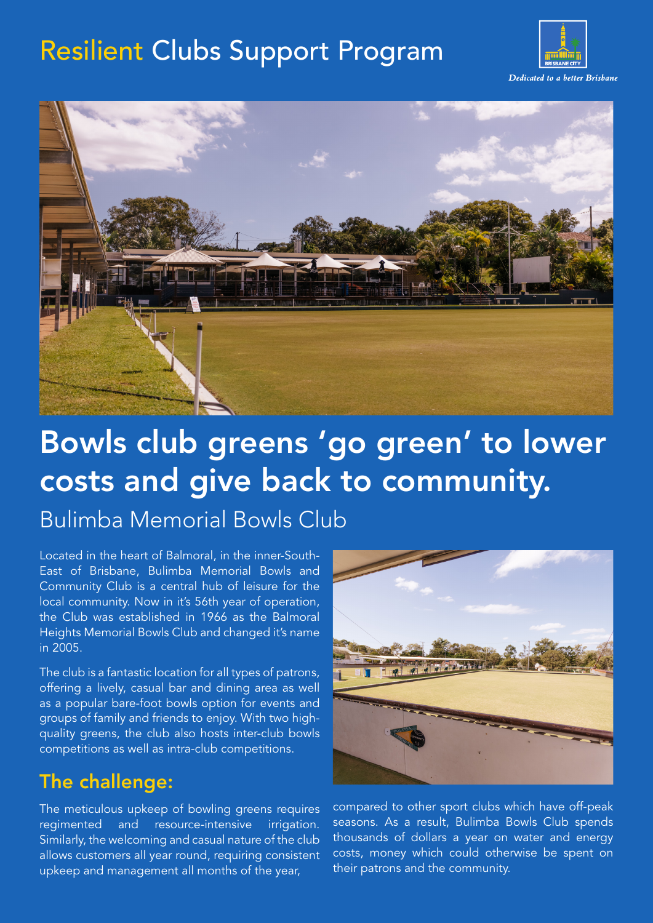## Resilient Clubs Support Program





# Bowls club greens 'go green' to lower costs and give back to community.

Bulimba Memorial Bowls Club

Located in the heart of Balmoral, in the inner-South-East of Brisbane, Bulimba Memorial Bowls and Community Club is a central hub of leisure for the local community. Now in it's 56th year of operation, the Club was established in 1966 as the Balmoral Heights Memorial Bowls Club and changed it's name in 2005.

The club is a fantastic location for all types of patrons, offering a lively, casual bar and dining area as well as a popular bare-foot bowls option for events and groups of family and friends to enjoy. With two highquality greens, the club also hosts inter-club bowls competitions as well as intra-club competitions.

## The challenge:

The meticulous upkeep of bowling greens requires regimented and resource-intensive irrigation. Similarly, the welcoming and casual nature of the club allows customers all year round, requiring consistent upkeep and management all months of the year,



compared to other sport clubs which have off-peak seasons. As a result, Bulimba Bowls Club spends thousands of dollars a year on water and energy costs, money which could otherwise be spent on their patrons and the community.